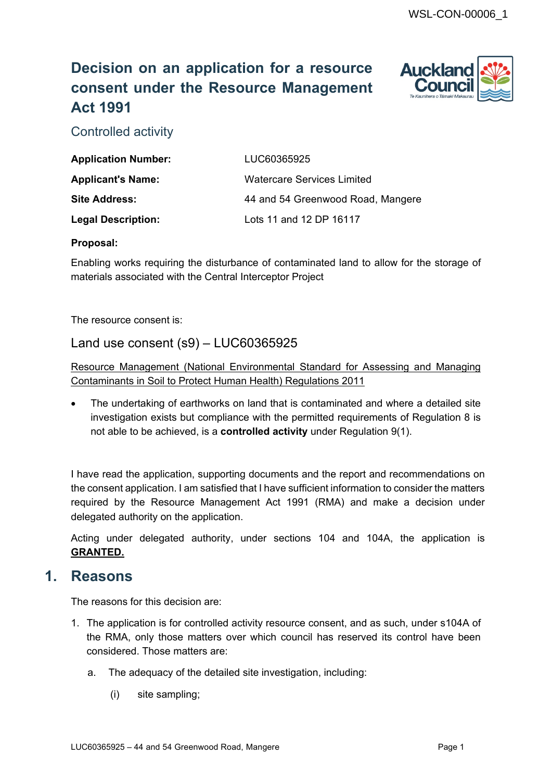# **Decision on an application for a resource consent under the Resource Management Act 1991**



Controlled activity

| <b>Application Number:</b> | LUC60365925                       |
|----------------------------|-----------------------------------|
| <b>Applicant's Name:</b>   | Watercare Services Limited        |
| <b>Site Address:</b>       | 44 and 54 Greenwood Road, Mangere |
| <b>Legal Description:</b>  | Lots 11 and 12 DP 16117           |

#### **Proposal:**

Enabling works requiring the disturbance of contaminated land to allow for the storage of materials associated with the Central Interceptor Project

The resource consent is:

## Land use consent (s9) – LUC60365925

Resource Management (National Environmental Standard for Assessing and Managing Contaminants in Soil to Protect Human Health) Regulations 2011

• The undertaking of earthworks on land that is contaminated and where a detailed site investigation exists but compliance with the permitted requirements of Regulation 8 is not able to be achieved, is a **controlled activity** under Regulation 9(1).

I have read the application, supporting documents and the report and recommendations on the consent application. I am satisfied that I have sufficient information to consider the matters required by the Resource Management Act 1991 (RMA) and make a decision under delegated authority on the application.

Acting under delegated authority, under sections 104 and 104A, the application is **GRANTED.**

# **1. Reasons**

The reasons for this decision are:

- 1. The application is for controlled activity resource consent, and as such, under s104A of the RMA, only those matters over which council has reserved its control have been considered. Those matters are:
	- a. The adequacy of the detailed site investigation, including:
		- (i) site sampling;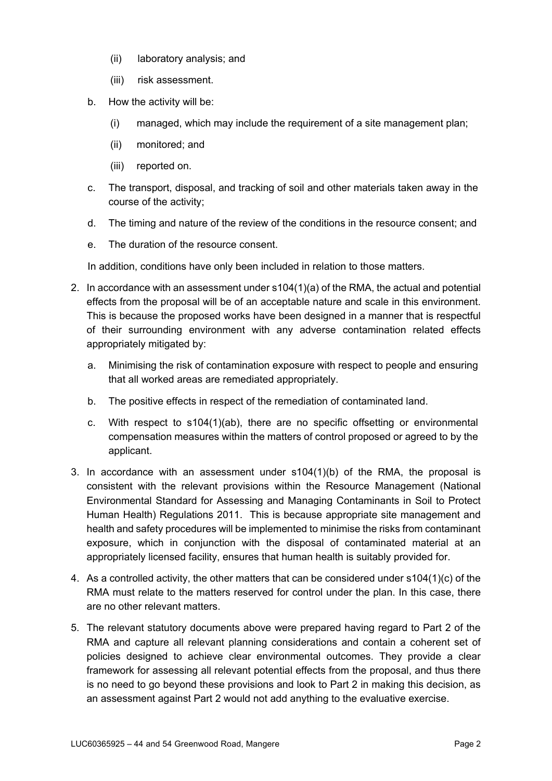- (ii) laboratory analysis; and
- (iii) risk assessment.
- b. How the activity will be:
	- (i) managed, which may include the requirement of a site management plan;
	- (ii) monitored; and
	- (iii) reported on.
- c. The transport, disposal, and tracking of soil and other materials taken away in the course of the activity;
- d. The timing and nature of the review of the conditions in the resource consent; and
- e. The duration of the resource consent.

In addition, conditions have only been included in relation to those matters.

- 2. In accordance with an assessment under s104(1)(a) of the RMA, the actual and potential effects from the proposal will be of an acceptable nature and scale in this environment. This is because the proposed works have been designed in a manner that is respectful of their surrounding environment with any adverse contamination related effects appropriately mitigated by:
	- a. Minimising the risk of contamination exposure with respect to people and ensuring that all worked areas are remediated appropriately.
	- b. The positive effects in respect of the remediation of contaminated land.
	- c. With respect to s104(1)(ab), there are no specific offsetting or environmental compensation measures within the matters of control proposed or agreed to by the applicant.
- 3. In accordance with an assessment under s104(1)(b) of the RMA, the proposal is consistent with the relevant provisions within the Resource Management (National Environmental Standard for Assessing and Managing Contaminants in Soil to Protect Human Health) Regulations 2011. This is because appropriate site management and health and safety procedures will be implemented to minimise the risks from contaminant exposure, which in conjunction with the disposal of contaminated material at an appropriately licensed facility, ensures that human health is suitably provided for.
- 4. As a controlled activity, the other matters that can be considered under s104(1)(c) of the RMA must relate to the matters reserved for control under the plan. In this case, there are no other relevant matters.
- 5. The relevant statutory documents above were prepared having regard to Part 2 of the RMA and capture all relevant planning considerations and contain a coherent set of policies designed to achieve clear environmental outcomes. They provide a clear framework for assessing all relevant potential effects from the proposal, and thus there is no need to go beyond these provisions and look to Part 2 in making this decision, as an assessment against Part 2 would not add anything to the evaluative exercise.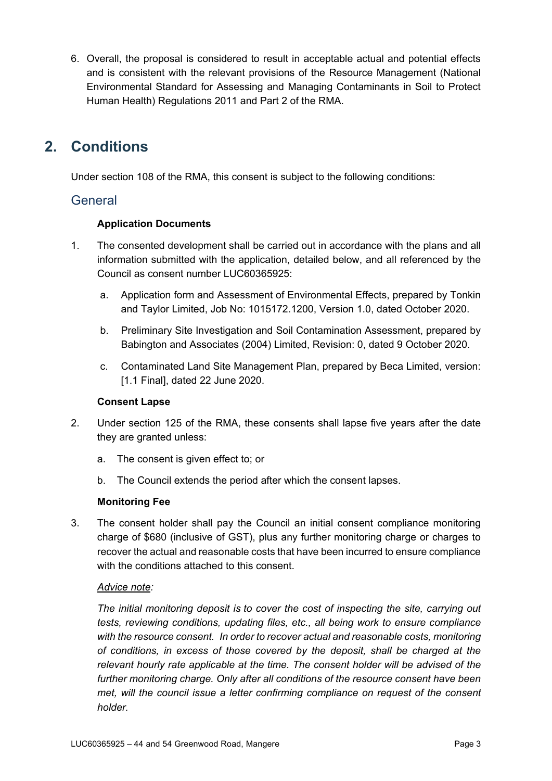6. Overall, the proposal is considered to result in acceptable actual and potential effects and is consistent with the relevant provisions of the Resource Management (National Environmental Standard for Assessing and Managing Contaminants in Soil to Protect Human Health) Regulations 2011 and Part 2 of the RMA.

# **2. Conditions**

Under section 108 of the RMA, this consent is subject to the following conditions:

### General

### **Application Documents**

- 1. The consented development shall be carried out in accordance with the plans and all information submitted with the application, detailed below, and all referenced by the Council as consent number LUC60365925:
	- a. Application form and Assessment of Environmental Effects, prepared by Tonkin and Taylor Limited, Job No: 1015172.1200, Version 1.0, dated October 2020.
	- b. Preliminary Site Investigation and Soil Contamination Assessment, prepared by Babington and Associates (2004) Limited, Revision: 0, dated 9 October 2020.
	- c. Contaminated Land Site Management Plan, prepared by Beca Limited, version: [1.1 Final], dated 22 June 2020.

### **Consent Lapse**

- 2. Under section 125 of the RMA, these consents shall lapse five years after the date they are granted unless:
	- a. The consent is given effect to; or
	- b. The Council extends the period after which the consent lapses.

### **Monitoring Fee**

3. The consent holder shall pay the Council an initial consent compliance monitoring charge of \$680 (inclusive of GST), plus any further monitoring charge or charges to recover the actual and reasonable costs that have been incurred to ensure compliance with the conditions attached to this consent.

### *Advice note:*

*The initial monitoring deposit is to cover the cost of inspecting the site, carrying out tests, reviewing conditions, updating files, etc., all being work to ensure compliance with the resource consent. In order to recover actual and reasonable costs, monitoring of conditions, in excess of those covered by the deposit, shall be charged at the relevant hourly rate applicable at the time. The consent holder will be advised of the further monitoring charge. Only after all conditions of the resource consent have been met, will the council issue a letter confirming compliance on request of the consent holder.*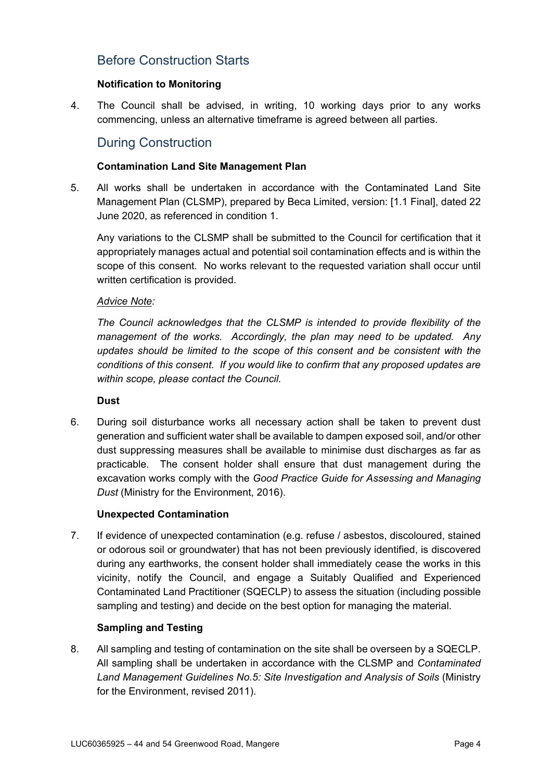# Before Construction Starts

#### **Notification to Monitoring**

4. The Council shall be advised, in writing, 10 working days prior to any works commencing, unless an alternative timeframe is agreed between all parties.

## During Construction

#### **Contamination Land Site Management Plan**

5. All works shall be undertaken in accordance with the Contaminated Land Site Management Plan (CLSMP), prepared by Beca Limited, version: [1.1 Final], dated 22 June 2020, as referenced in condition 1.

Any variations to the CLSMP shall be submitted to the Council for certification that it appropriately manages actual and potential soil contamination effects and is within the scope of this consent. No works relevant to the requested variation shall occur until written certification is provided.

#### *Advice Note:*

*The Council acknowledges that the CLSMP is intended to provide flexibility of the management of the works. Accordingly, the plan may need to be updated. Any updates should be limited to the scope of this consent and be consistent with the conditions of this consent. If you would like to confirm that any proposed updates are within scope, please contact the Council.*

#### **Dust**

6. During soil disturbance works all necessary action shall be taken to prevent dust generation and sufficient water shall be available to dampen exposed soil, and/or other dust suppressing measures shall be available to minimise dust discharges as far as practicable. The consent holder shall ensure that dust management during the excavation works comply with the *Good Practice Guide for Assessing and Managing Dust* (Ministry for the Environment, 2016).

#### **Unexpected Contamination**

7. If evidence of unexpected contamination (e.g. refuse / asbestos, discoloured, stained or odorous soil or groundwater) that has not been previously identified, is discovered during any earthworks, the consent holder shall immediately cease the works in this vicinity, notify the Council, and engage a Suitably Qualified and Experienced Contaminated Land Practitioner (SQECLP) to assess the situation (including possible sampling and testing) and decide on the best option for managing the material.

#### **Sampling and Testing**

8. All sampling and testing of contamination on the site shall be overseen by a SQECLP. All sampling shall be undertaken in accordance with the CLSMP and *Contaminated Land Management Guidelines No.5: Site Investigation and Analysis of Soils* (Ministry for the Environment, revised 2011).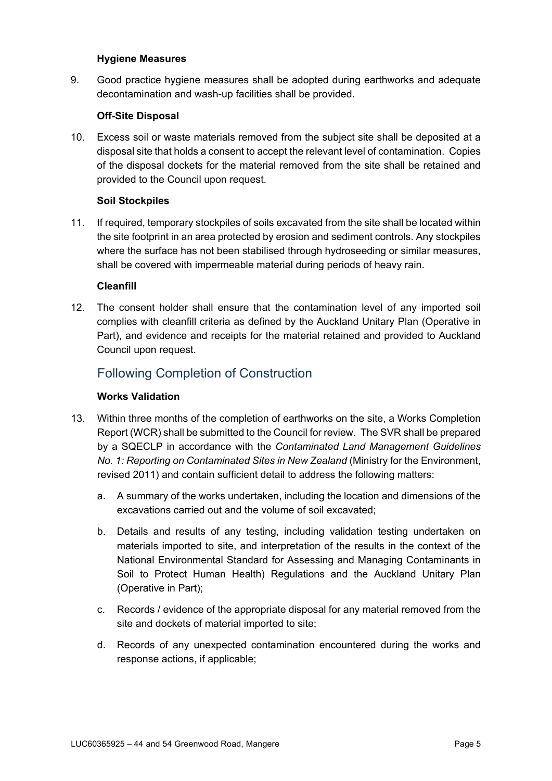#### **Hygiene Measures**

9. Good practice hygiene measures shall be adopted during earthworks and adequate decontamination and wash-up facilities shall be provided.

#### **Off-Site Disposal**

10. Excess soil or waste materials removed from the subject site shall be deposited at a disposal site that holds a consent to accept the relevant level of contamination. Copies of the disposal dockets for the material removed from the site shall be retained and provided to the Council upon request.

#### **Soil Stockpiles**

11. If required, temporary stockpiles of soils excavated from the site shall be located within the site footprint in an area protected by erosion and sediment controls. Any stockpiles where the surface has not been stabilised through hydroseeding or similar measures, shall be covered with impermeable material during periods of heavy rain.

#### **Cleanfill**

12. The consent holder shall ensure that the contamination level of any imported soil complies with cleanfill criteria as defined by the Auckland Unitary Plan (Operative in Part), and evidence and receipts for the material retained and provided to Auckland Council upon request.

# Following Completion of Construction

#### **Works Validation**

- 13. Within three months of the completion of earthworks on the site, a Works Completion Report (WCR) shall be submitted to the Council for review. The SVR shall be prepared by a SQECLP in accordance with the *Contaminated Land Management Guidelines No. 1: Reporting on Contaminated Sites in New Zealand* (Ministry for the Environment, revised 2011) and contain sufficient detail to address the following matters:
	- a. A summary of the works undertaken, including the location and dimensions of the excavations carried out and the volume of soil excavated;
	- b. Details and results of any testing, including validation testing undertaken on materials imported to site, and interpretation of the results in the context of the National Environmental Standard for Assessing and Managing Contaminants in Soil to Protect Human Health) Regulations and the Auckland Unitary Plan (Operative in Part);
	- c. Records / evidence of the appropriate disposal for any material removed from the site and dockets of material imported to site;
	- d. Records of any unexpected contamination encountered during the works and response actions, if applicable;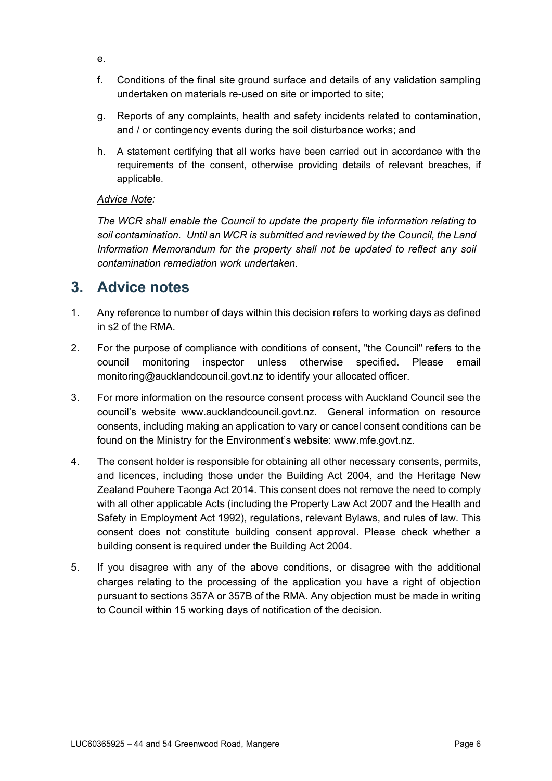- e.
- f. Conditions of the final site ground surface and details of any validation sampling undertaken on materials re-used on site or imported to site;
- g. Reports of any complaints, health and safety incidents related to contamination, and / or contingency events during the soil disturbance works; and
- h. A statement certifying that all works have been carried out in accordance with the requirements of the consent, otherwise providing details of relevant breaches, if applicable.

### *Advice Note:*

*The WCR shall enable the Council to update the property file information relating to soil contamination. Until an WCR is submitted and reviewed by the Council, the Land Information Memorandum for the property shall not be updated to reflect any soil contamination remediation work undertaken.*

# **3. Advice notes**

- 1. Any reference to number of days within this decision refers to working days as defined in s2 of the RMA.
- 2. For the purpose of compliance with conditions of consent, "the Council" refers to the council monitoring inspector unless otherwise specified. Please email [monitoring@aucklandcouncil.govt.nz](mailto:monitoring@aucklandcouncil.govt.nz) to identify your allocated officer.
- 3. For more information on the resource consent process with Auckland Council see the council's website www.aucklandcouncil.govt.nz. General information on resource consents, including making an application to vary or cancel consent conditions can be found on the Ministry for the Environment's website: [www.mfe.govt.nz.](http://www.mfe.govt.nz/)
- 4. The consent holder is responsible for obtaining all other necessary consents, permits, and licences, including those under the Building Act 2004, and the Heritage New Zealand Pouhere Taonga Act 2014. This consent does not remove the need to comply with all other applicable Acts (including the Property Law Act 2007 and the Health and Safety in Employment Act 1992), regulations, relevant Bylaws, and rules of law. This consent does not constitute building consent approval. Please check whether a building consent is required under the Building Act 2004.
- 5. If you disagree with any of the above conditions, or disagree with the additional charges relating to the processing of the application you have a right of objection pursuant to sections 357A or 357B of the RMA. Any objection must be made in writing to Council within 15 working days of notification of the decision.